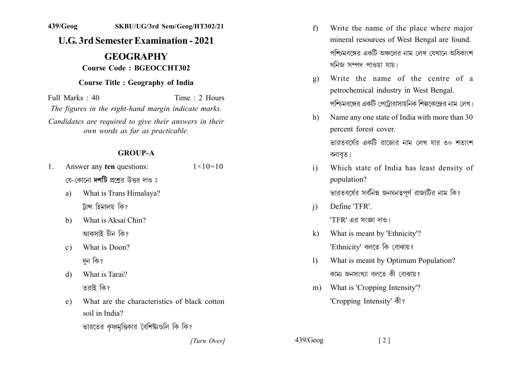## **U.G. 3rd Semester Examination - 2021**

# **GEOGRAPHY Course Code: BGEOCCHT302**

### **Course Title : Geography of India**

Full Marks  $\cdot$  40 Time  $\cdot$  2 Hours The figures in the right-hand margin indicate marks. Candidates are required to give their answers in their own words as far as practicable.

#### **GROUP-A**

- Answer any ten questions:  $1 \times 10 = 10$  $1_{-}$ য়ে-কোনো **দশটি** প্রশ্রের উত্তর দাও ঃ
	- What is Trans Himalaya? a) ট্রান্স হিমালয় কি?
	- What is Aksai Chin?  $b)$ আকসাই চীন কি?
	- What is Doon?  $\mathbf{c}$ ) দুন কি?
	- What is Tarai?  $\overline{d}$ তরাই কি?
	- What are the characteristics of black cotton  $e)$ soil in India?

ভারতের কৃষ্ণমূত্তিকার বৈশিষ্ট্যগুলি কি কি?

- Write the name of the place where major  $f$ mineral resources of West Bengal are found. পশ্চিমবঙ্গের একটি অঞ্চলের নাম লেখ যেখানে অধিকাংশ খনিজ সম্পদ পাওয়া যায়।
- Write the name of the centre of a  $\sigma$ ) petrochemical industry in West Bengal. পশ্চিমবঙ্গের একটি পেট্টোরাসায়নিক শিল্পকেন্দ্রের নাম লেখ।
- Name any one state of India with more than 30  $h$ ) percent forest cover. ভারতবর্ষের একটি রাজোর নাম লেখ যার ৩০ শতাংশ বনাবত।
- Which state of India has least density of  $\mathbf{i}$ population? ভারতবর্ষের সর্বনিম্ন জনঘনত্বপর্ণ রাজাটির নাম কি?
- $\mathbf{i}$ Define 'TFR'  $'TFR'$  এর সংজ্ঞা দাও।
- What is meant by 'Ethnicity'?  $\mathbf{k}$ 'Ethnicity' বলতে কি বোঝায়?
- What is meant by Optimum Population?  $\mathbf{D}$ কামা জনসংখ্যা বলতে কী বোঝায়?

 $\lceil 2 \rceil$ 

What is 'Cropping Intensity'?  $m$ ) 'Cropping Intensity' की?

[Turn Over]

 $439/Geog$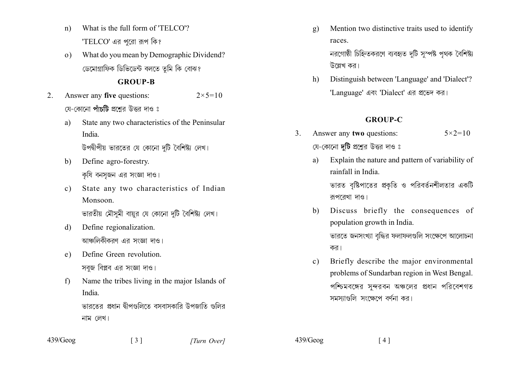- What is the full form of 'TELCO'?  $n)$ 'TELCO' এর পরো রূপ কি?
- What do you mean by Demographic Dividend?  $\Omega$ ডেমোগ্ৰাফিক ডিভিডেন্ট বলতে তুমি কি বোঝ?

#### **GROUP-B**

- Answer any five questions:  $2 \times 5 = 10$  $2.$ য়ে-কোনো **পাঁচটি** প্রশ্রের উত্তর দাও ঃ
	- State any two characteristics of the Peninsular a) India

উপদ্বীপীয় ভারতের যে কোনো দটি বৈশিষ্ট্য লেখ।

- Define agro-forestry.  $h$ কযি বনসজন এর সংজ্ঞা দাও।
- State any two characteristics of Indian  $c)$ Monsoon

ভারতীয় মৌসমী বায়র যে কোনো দটি বৈশিষ্ট্য লেখ।

- Define regionalization. d) আঞ্চলিকীকরণ এর সংজ্ঞা দাও।
- Define Green revolution.  $e)$ সবজ বিপ্লব এর সংজ্ঞা দাও।
- Name the tribes living in the major Islands of  $f$ India. ভারতের প্রধান দ্বীপগুলিতে বসবাসকারি উপজাতি গুলির

 $\begin{bmatrix} 3 \end{bmatrix}$ 

নাম লেখ।

- Mention two distinctive traits used to identify  $g)$ races নরগোষ্ঠী চিহ্নিতকরণে ব্যবহৃত দটি সম্পষ্ট পথক বৈশিষ্ট্য উল্লেখ কর।
- Distinguish between 'Language' and 'Dialect'?  $h)$ 'Language' এবং 'Dialect' এর প্রভেদ কর।

#### **GROUP-C**

- Answer any two questions:  $\mathcal{E}$  $5 \times 2 = 10$ যে-কোনো **দটি** প্রশ্নের উত্তর দাও ঃ
	- Explain the nature and pattern of variability of a) rainfall in India

ভারত বৃষ্টিপাতের প্রকৃতি ও পরিবর্তনশীলতার একটি রূপরেখা দাও।

- Discuss briefly the consequences of  $b)$ population growth in India. ভারতে জনসংখ্যা বৃদ্ধির ফলাফলগুলি সংক্ষেপে আলোচনা কর।
- Briefly describe the major environmental  $c)$ problems of Sundarban region in West Bengal. পশ্চিমবঙ্গের সন্দরবন অঞ্চলের প্রধান পরিবেশগত সমস্যাগুলি সংক্ষেপে বর্ণনা কর।

 $439/Geog$